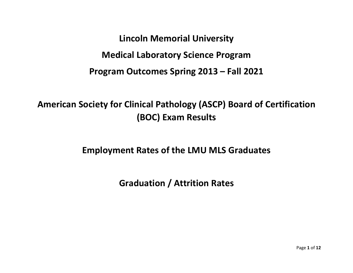**Lincoln Memorial University Medical Laboratory Science Program Program Outcomes Spring 2013 – Fall 2021**

**American Society for Clinical Pathology (ASCP) Board of Certification (BOC) Exam Results**

**Employment Rates of the LMU MLS Graduates**

**Graduation / Attrition Rates**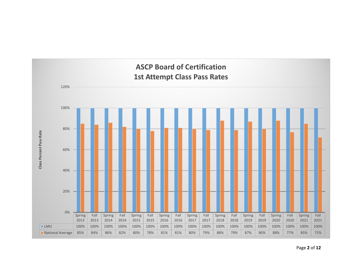

Page **2** of **12**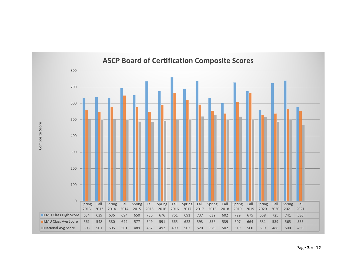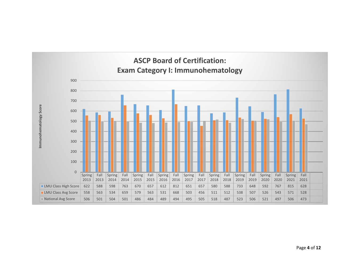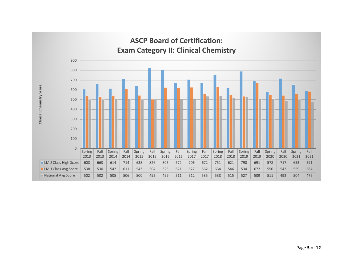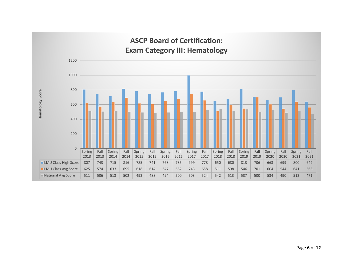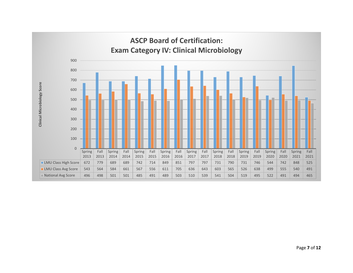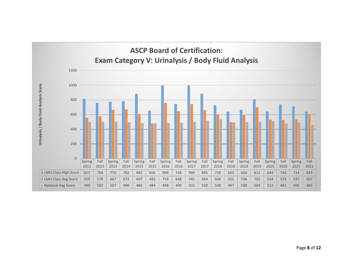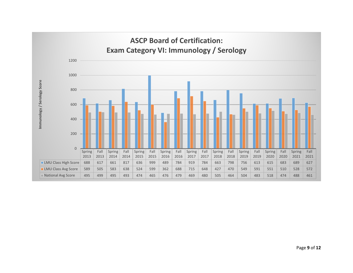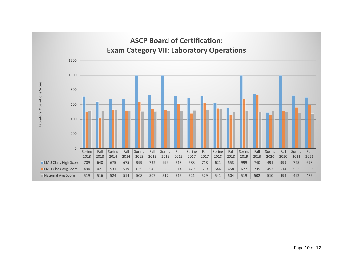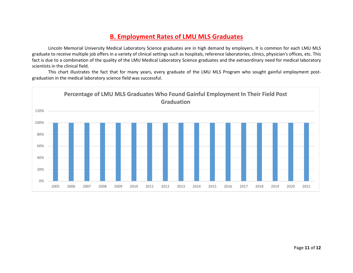## **B. Employment Rates of LMU MLS Graduates**

Lincoln Memorial University Medical Laboratory Science graduates are in high demand by employers. It is common for each LMU MLS graduate to receive multiple job offers in a variety of clinical settings such as hospitals, reference laboratories, clinics, physician's offices, etc. This fact is due to a combination of the quality of the LMU Medical Laboratory Science graduates and the extraordinary need for medical laboratory scientists in the clinical field.

This chart illustrates the fact that for many years, every graduate of the LMU MLS Program who sought gainful employment postgraduation in the medical laboratory science field was successful.